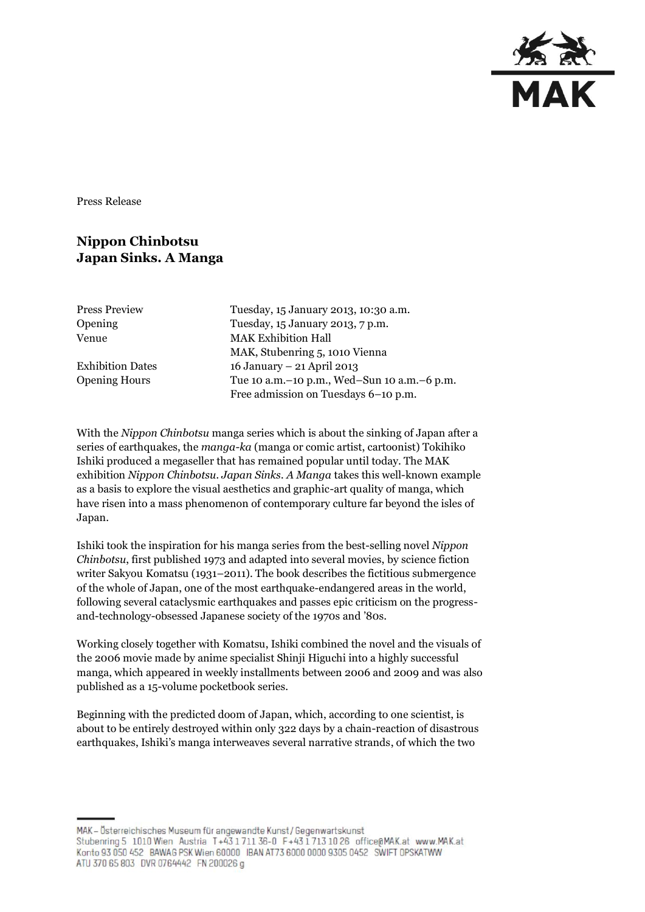

Press Release

## **Nippon Chinbotsu Japan Sinks. A Manga**

| <b>Press Preview</b> | Tuesday, 15 January 2013, 10:30 a.m.        |
|----------------------|---------------------------------------------|
| Opening              | Tuesday, 15 January 2013, 7 p.m.            |
| Venue                | <b>MAK Exhibition Hall</b>                  |
|                      | MAK, Stubenring 5, 1010 Vienna              |
| Exhibition Dates     | 16 January – 21 April 2013                  |
| <b>Opening Hours</b> | Tue 10 a.m.-10 p.m., Wed-Sun 10 a.m.-6 p.m. |
|                      | Free admission on Tuesdays 6-10 p.m.        |

With the *Nippon Chinbotsu* manga series which is about the sinking of Japan after a series of earthquakes, the *manga-ka* (manga or comic artist, cartoonist) Tokihiko Ishiki produced a megaseller that has remained popular until today. The MAK exhibition *Nippon Chinbotsu. Japan Sinks. A Manga* takes this well-known example as a basis to explore the visual aesthetics and graphic-art quality of manga, which have risen into a mass phenomenon of contemporary culture far beyond the isles of Japan.

Ishiki took the inspiration for his manga series from the best-selling novel *Nippon Chinbotsu*, first published 1973 and adapted into several movies, by science fiction writer Sakyou Komatsu (1931–2011). The book describes the fictitious submergence of the whole of Japan, one of the most earthquake-endangered areas in the world, following several cataclysmic earthquakes and passes epic criticism on the progressand-technology-obsessed Japanese society of the 1970s and '80s.

Working closely together with Komatsu, Ishiki combined the novel and the visuals of the 2006 movie made by anime specialist Shinji Higuchi into a highly successful manga, which appeared in weekly installments between 2006 and 2009 and was also published as a 15-volume pocketbook series.

Beginning with the predicted doom of Japan, which, according to one scientist, is about to be entirely destroyed within only 322 days by a chain-reaction of disastrous earthquakes, Ishiki's manga interweaves several narrative strands, of which the two

MAK - Österreichisches Museum für angewandte Kunst/Gegenwartskunst Stubenring 5 1010 Wien Austria T+43 1 711 36-0 F+43 1 713 10 26 office@MAK.at www.MAK.at Konto 93 050 452 BAWAG PSK Wien 60000 BAN AT73 6000 0000 9305 0452 SWIFT OPSKATWW

ATU 370 65 803 DVR 0764442 FN 200026 g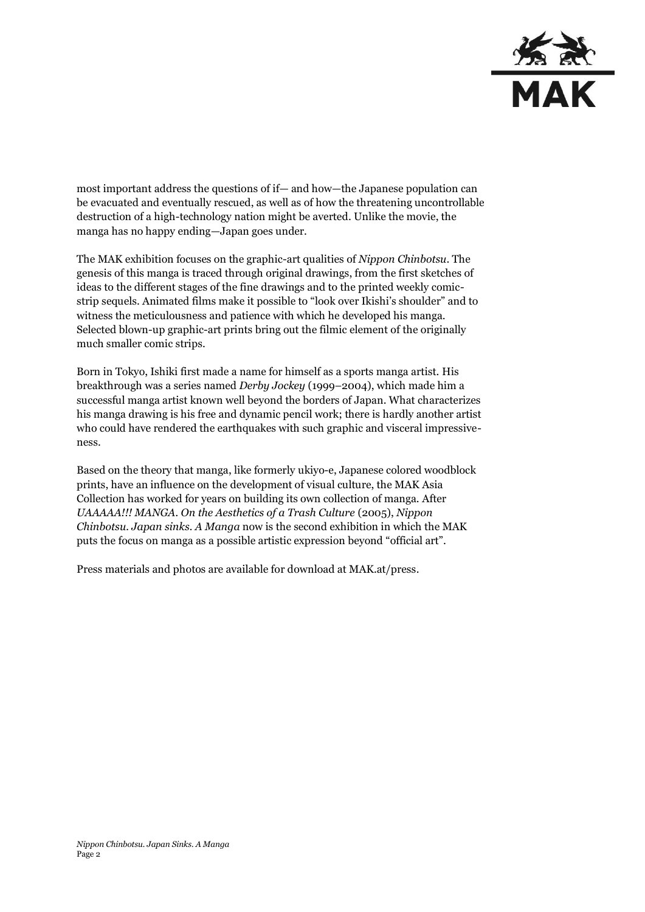

most important address the questions of if— and how—the Japanese population can be evacuated and eventually rescued, as well as of how the threatening uncontrollable destruction of a high-technology nation might be averted. Unlike the movie, the manga has no happy ending—Japan goes under.

The MAK exhibition focuses on the graphic-art qualities of *Nippon Chinbotsu*. The genesis of this manga is traced through original drawings, from the first sketches of ideas to the different stages of the fine drawings and to the printed weekly comicstrip sequels. Animated films make it possible to "look over Ikishi's shoulder" and to witness the meticulousness and patience with which he developed his manga. Selected blown-up graphic-art prints bring out the filmic element of the originally much smaller comic strips.

Born in Tokyo, Ishiki first made a name for himself as a sports manga artist. His breakthrough was a series named *Derby Jockey* (1999–2004), which made him a successful manga artist known well beyond the borders of Japan. What characterizes his manga drawing is his free and dynamic pencil work; there is hardly another artist who could have rendered the earthquakes with such graphic and visceral impressiveness.

Based on the theory that manga, like formerly ukiyo-e, Japanese colored woodblock prints, have an influence on the development of visual culture, the MAK Asia Collection has worked for years on building its own collection of manga. After UAAAAA!!! MANGA. On the Aesthetics of a Trash Culture (2005), Nippon *Chinbotsu. Japan sinks. A Manga* now is the second exhibition in which the MAK puts the focus on manga as a possible artistic expression beyond "official art".

Press materials and photos are available for download at MAK.at/press.